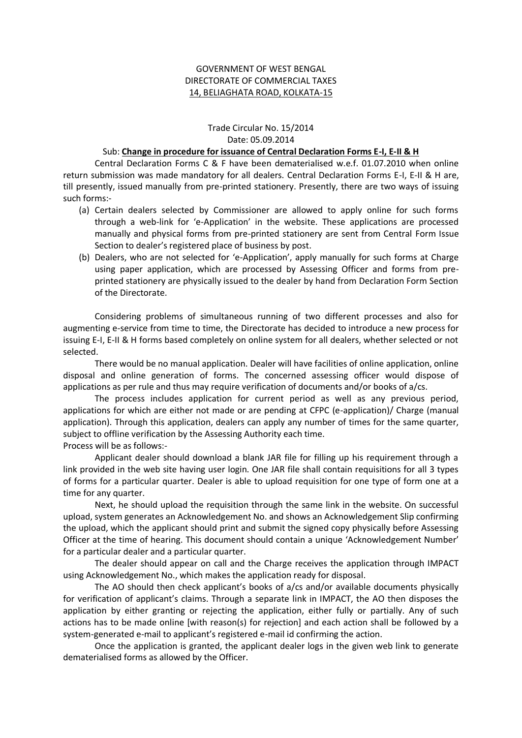## GOVERNMENT OF WEST BENGAL DIRECTORATE OF COMMERCIAL TAXES 14, BELIAGHATA ROAD, KOLKATA-15

## Trade Circular No. 15/2014 Date: 05.09.2014

## Sub: **Change in procedure for issuance of Central Declaration Forms E-I, E-II & H**

Central Declaration Forms C & F have been dematerialised w.e.f. 01.07.2010 when online return submission was made mandatory for all dealers. Central Declaration Forms E-I, E-II & H are, till presently, issued manually from pre-printed stationery. Presently, there are two ways of issuing such forms:-

- (a) Certain dealers selected by Commissioner are allowed to apply online for such forms through a web-link for 'e-Application' in the website. These applications are processed manually and physical forms from pre-printed stationery are sent from Central Form Issue Section to dealer's registered place of business by post.
- (b) Dealers, who are not selected for 'e-Application', apply manually for such forms at Charge using paper application, which are processed by Assessing Officer and forms from preprinted stationery are physically issued to the dealer by hand from Declaration Form Section of the Directorate.

Considering problems of simultaneous running of two different processes and also for augmenting e-service from time to time, the Directorate has decided to introduce a new process for issuing E-I, E-II & H forms based completely on online system for all dealers, whether selected or not selected.

There would be no manual application. Dealer will have facilities of online application, online disposal and online generation of forms. The concerned assessing officer would dispose of applications as per rule and thus may require verification of documents and/or books of a/cs.

The process includes application for current period as well as any previous period, applications for which are either not made or are pending at CFPC (e-application)/ Charge (manual application). Through this application, dealers can apply any number of times for the same quarter, subject to offline verification by the Assessing Authority each time. Process will be as follows:-

Applicant dealer should download a blank JAR file for filling up his requirement through a link provided in the web site having user login. One JAR file shall contain requisitions for all 3 types of forms for a particular quarter. Dealer is able to upload requisition for one type of form one at a time for any quarter.

Next, he should upload the requisition through the same link in the website. On successful upload, system generates an Acknowledgement No. and shows an Acknowledgement Slip confirming the upload, which the applicant should print and submit the signed copy physically before Assessing Officer at the time of hearing. This document should contain a unique 'Acknowledgement Number' for a particular dealer and a particular quarter.

The dealer should appear on call and the Charge receives the application through IMPACT using Acknowledgement No., which makes the application ready for disposal.

The AO should then check applicant's books of a/cs and/or available documents physically for verification of applicant's claims. Through a separate link in IMPACT, the AO then disposes the application by either granting or rejecting the application, either fully or partially. Any of such actions has to be made online [with reason(s) for rejection] and each action shall be followed by a system-generated e-mail to applicant's registered e-mail id confirming the action.

Once the application is granted, the applicant dealer logs in the given web link to generate dematerialised forms as allowed by the Officer.